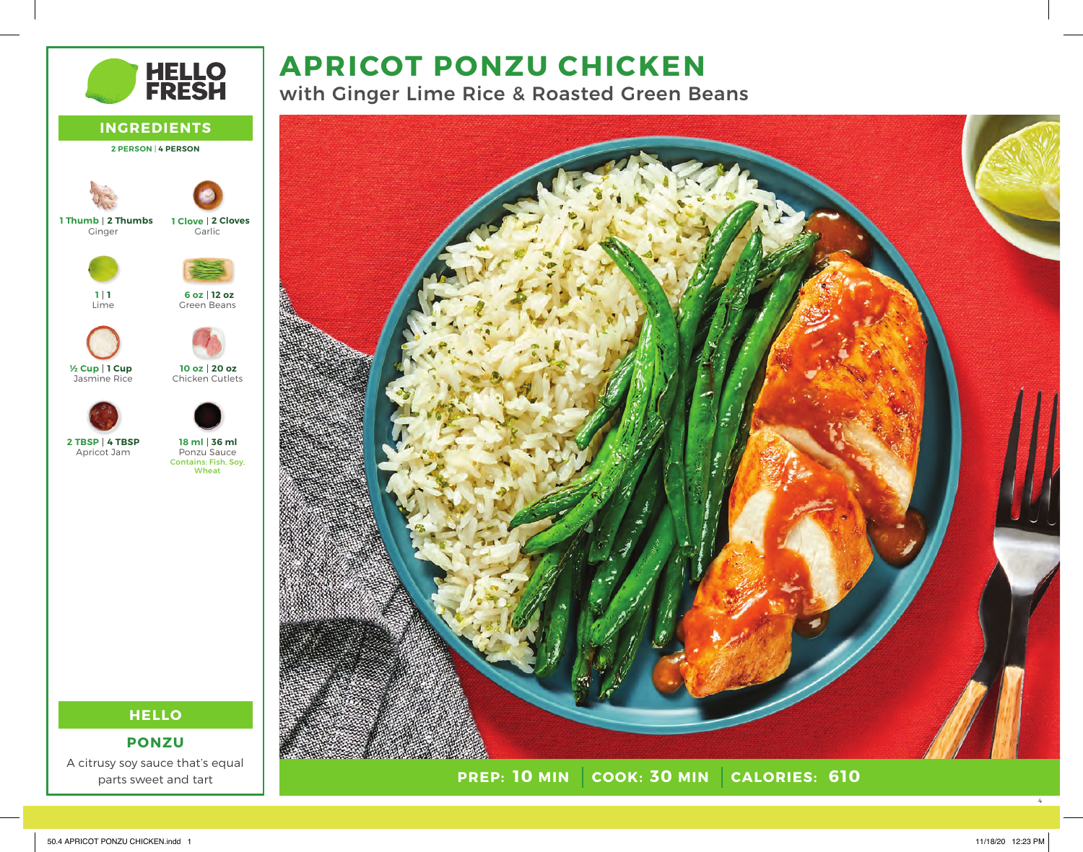# **APRICOT PONZU CHICKEN**

with Ginger Lime Rice & Roasted Green Beans





**HELLO**

**PONZU**

A citrusy soy sauce that's equal parts sweet and tart

4